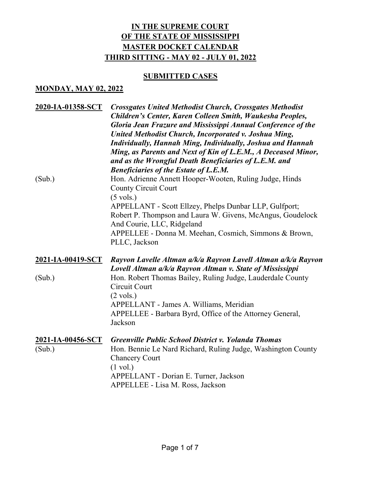## **SUBMITTED CASES**

### **MONDAY, MAY 02, 2022**

| 2020-IA-01358-SCT<br>(Sub.) | <b>Crossgates United Methodist Church, Crossgates Methodist</b><br>Children's Center, Karen Colleen Smith, Waukesha Peoples,<br>Gloria Jean Frazure and Mississippi Annual Conference of the<br>United Methodist Church, Incorporated v. Joshua Ming,<br><b>Individually, Hannah Ming, Individually, Joshua and Hannah</b><br>Ming, as Parents and Next of Kin of L.E.M., A Deceased Minor,<br>and as the Wrongful Death Beneficiaries of L.E.M. and<br><b>Beneficiaries of the Estate of L.E.M.</b><br>Hon. Adrienne Annett Hooper-Wooten, Ruling Judge, Hinds<br><b>County Circuit Court</b><br>$(5 \text{ vols.})$<br>APPELLANT - Scott Ellzey, Phelps Dunbar LLP, Gulfport; |
|-----------------------------|---------------------------------------------------------------------------------------------------------------------------------------------------------------------------------------------------------------------------------------------------------------------------------------------------------------------------------------------------------------------------------------------------------------------------------------------------------------------------------------------------------------------------------------------------------------------------------------------------------------------------------------------------------------------------------|
|                             | Robert P. Thompson and Laura W. Givens, McAngus, Goudelock<br>And Courie, LLC, Ridgeland<br>APPELLEE - Donna M. Meehan, Cosmich, Simmons & Brown,<br>PLLC, Jackson                                                                                                                                                                                                                                                                                                                                                                                                                                                                                                              |
| <u>2021-IA-00419-SCT</u>    | Rayvon Lavelle Altman a/k/a Rayvon Lavell Altman a/k/a Rayvon                                                                                                                                                                                                                                                                                                                                                                                                                                                                                                                                                                                                                   |
| (Sub.)                      | Lovell Altman a/k/a Rayvon Altman v. State of Mississippi<br>Hon. Robert Thomas Bailey, Ruling Judge, Lauderdale County<br>Circuit Court                                                                                                                                                                                                                                                                                                                                                                                                                                                                                                                                        |
|                             | $(2 \text{ vols.})$                                                                                                                                                                                                                                                                                                                                                                                                                                                                                                                                                                                                                                                             |
|                             | APPELLANT - James A. Williams, Meridian<br>APPELLEE - Barbara Byrd, Office of the Attorney General,<br>Jackson                                                                                                                                                                                                                                                                                                                                                                                                                                                                                                                                                                  |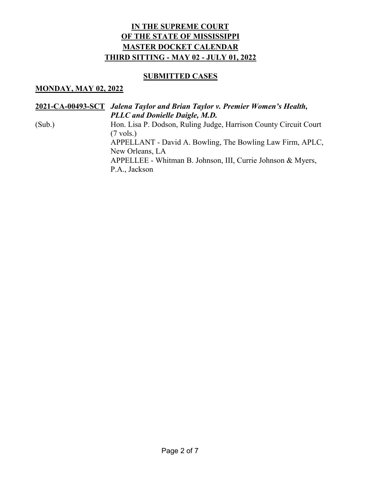## **SUBMITTED CASES**

#### **MONDAY, MAY 02, 2022**

|        | 2021-CA-00493-SCT Jalena Taylor and Brian Taylor v. Premier Women's Health, |
|--------|-----------------------------------------------------------------------------|
|        | <b>PLLC</b> and Donielle Daigle, M.D.                                       |
| (Sub.) | Hon. Lisa P. Dodson, Ruling Judge, Harrison County Circuit Court            |
|        | $(7 \text{ vols.})$                                                         |
|        | APPELLANT - David A. Bowling, The Bowling Law Firm, APLC,                   |
|        | New Orleans, LA                                                             |
|        | APPELLEE - Whitman B. Johnson, III, Currie Johnson & Myers,                 |
|        | P.A., Jackson                                                               |
|        |                                                                             |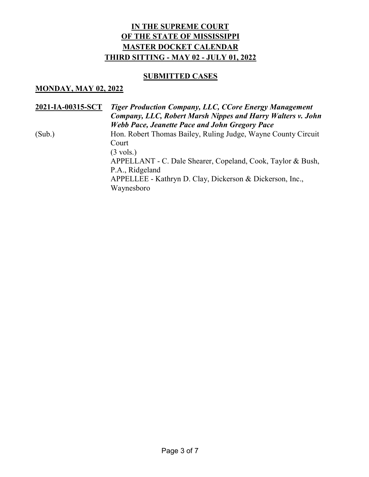### **SUBMITTED CASES**

#### **MONDAY, MAY 02, 2022**

| 2021-IA-00315-SCT | Tiger Production Company, LLC, CCore Energy Management<br>Company, LLC, Robert Marsh Nippes and Harry Walters v. John<br><b>Webb Pace, Jeanette Pace and John Gregory Pace</b> |
|-------------------|--------------------------------------------------------------------------------------------------------------------------------------------------------------------------------|
| (Sub.)            | Hon. Robert Thomas Bailey, Ruling Judge, Wayne County Circuit<br>Court<br>$(3 \text{ vols.})$                                                                                  |
|                   | APPELLANT - C. Dale Shearer, Copeland, Cook, Taylor & Bush,<br>P.A., Ridgeland<br>APPELLEE - Kathryn D. Clay, Dickerson & Dickerson, Inc.,<br>Waynesboro                       |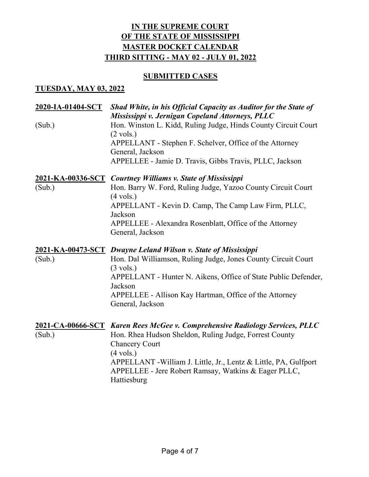## **SUBMITTED CASES**

### **TUESDAY, MAY 03, 2022**

| 2020-IA-01404-SCT<br>(Sub.) | Shad White, in his Official Capacity as Auditor for the State of<br>Mississippi v. Jernigan Copeland Attorneys, PLLC<br>Hon. Winston L. Kidd, Ruling Judge, Hinds County Circuit Court                                                                                                                                            |
|-----------------------------|-----------------------------------------------------------------------------------------------------------------------------------------------------------------------------------------------------------------------------------------------------------------------------------------------------------------------------------|
|                             | $(2 \text{ vols.})$<br>APPELLANT - Stephen F. Schelver, Office of the Attorney<br>General, Jackson<br>APPELLEE - Jamie D. Travis, Gibbs Travis, PLLC, Jackson                                                                                                                                                                     |
| (Sub.)                      | 2021-KA-00336-SCT Courtney Williams v. State of Mississippi<br>Hon. Barry W. Ford, Ruling Judge, Yazoo County Circuit Court<br>$(4 \text{ vols.})$<br>APPELLANT - Kevin D. Camp, The Camp Law Firm, PLLC,<br>Jackson<br>APPELLEE - Alexandra Rosenblatt, Office of the Attorney<br>General, Jackson                               |
| (Sub.)                      | 2021-KA-00473-SCT Dwayne Leland Wilson v. State of Mississippi<br>Hon. Dal Williamson, Ruling Judge, Jones County Circuit Court<br>$(3 \text{ vols.})$<br>APPELLANT - Hunter N. Aikens, Office of State Public Defender,<br>Jackson<br>APPELLEE - Allison Kay Hartman, Office of the Attorney<br>General, Jackson                 |
| (Sub.)                      | 2021-CA-00666-SCT Karen Rees McGee v. Comprehensive Radiology Services, PLLC<br>Hon. Rhea Hudson Sheldon, Ruling Judge, Forrest County<br><b>Chancery Court</b><br>$(4 \text{ vols.})$<br>APPELLANT - William J. Little, Jr., Lentz & Little, PA, Gulfport<br>APPELLEE - Jere Robert Ramsay, Watkins & Eager PLLC,<br>Hattiesburg |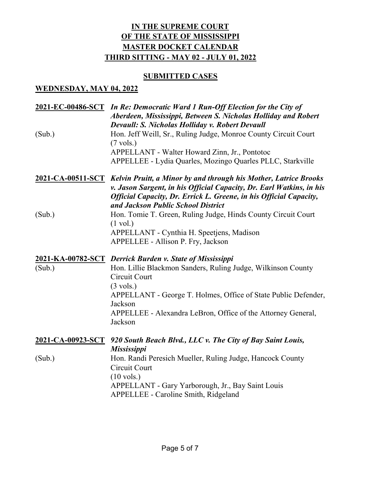## **SUBMITTED CASES**

#### **WEDNESDAY, MAY 04, 2022**

| (Sub.) | 2021-EC-00486-SCT In Re: Democratic Ward 1 Run-Off Election for the City of<br>Aberdeen, Mississippi, Between S. Nicholas Holliday and Robert<br>Devaull: S. Nicholas Holliday v. Robert Devaull<br>Hon. Jeff Weill, Sr., Ruling Judge, Monroe County Circuit Court<br>$(7 \text{ vols.})$<br>APPELLANT - Walter Howard Zinn, Jr., Pontotoc<br>APPELLEE - Lydia Quarles, Mozingo Quarles PLLC, Starkville |
|--------|-----------------------------------------------------------------------------------------------------------------------------------------------------------------------------------------------------------------------------------------------------------------------------------------------------------------------------------------------------------------------------------------------------------|
|        | <b>2021-CA-00511-SCT</b> Kelvin Pruitt, a Minor by and through his Mother, Latrice Brooks<br>v. Jason Sargent, in his Official Capacity, Dr. Earl Watkins, in his<br><b>Official Capacity, Dr. Errick L. Greene, in his Official Capacity,</b><br>and Jackson Public School District                                                                                                                      |
| (Sub.) | Hon. Tomie T. Green, Ruling Judge, Hinds County Circuit Court<br>$(1 \text{ vol.})$<br>APPELLANT - Cynthia H. Speetjens, Madison<br>APPELLEE - Allison P. Fry, Jackson                                                                                                                                                                                                                                    |
|        |                                                                                                                                                                                                                                                                                                                                                                                                           |
| (Sub.) | 2021-KA-00782-SCT Derrick Burden v. State of Mississippi<br>Hon. Lillie Blackmon Sanders, Ruling Judge, Wilkinson County<br>Circuit Court<br>$(3 \text{ vols.})$<br>APPELLANT - George T. Holmes, Office of State Public Defender,<br>Jackson<br>APPELLEE - Alexandra LeBron, Office of the Attorney General,<br>Jackson                                                                                  |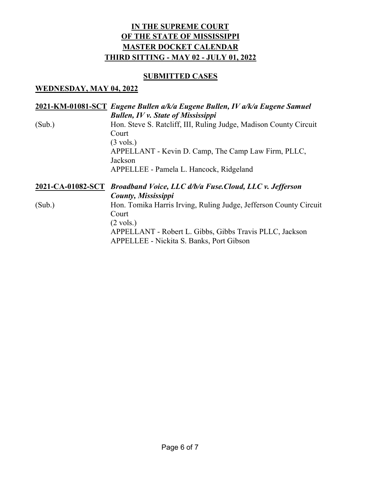### **SUBMITTED CASES**

### **WEDNESDAY, MAY 04, 2022**

## **2021-KM-01081-SCT** *Eugene Bullen a/k/a Eugene Bullen, IV a/k/a Eugene Samuel Bullen, IV v. State of Mississippi* (Sub.) Hon. Steve S. Ratcliff, III, Ruling Judge, Madison County Circuit Court (3 vols.) APPELLANT - Kevin D. Camp, The Camp Law Firm, PLLC, Jackson APPELLEE - Pamela L. Hancock, Ridgeland **2021-CA-01082-SCT** *Broadband Voice, LLC d/b/a Fuse.Cloud, LLC v. Jefferson County, Mississippi* (Sub.) Hon. Tomika Harris Irving, Ruling Judge, Jefferson County Circuit Court (2 vols.) APPELLANT - Robert L. Gibbs, Gibbs Travis PLLC, Jackson

APPELLEE - Nickita S. Banks, Port Gibson